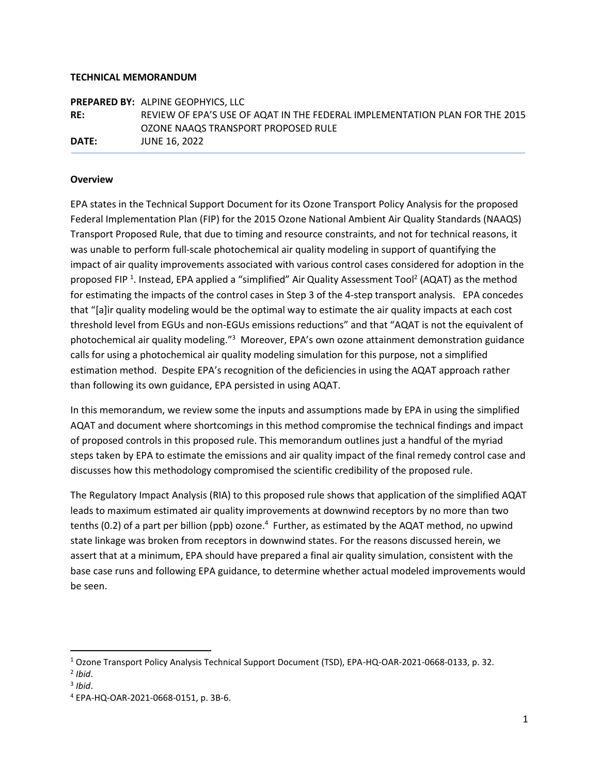#### **TECHNICAL MEMORANDUM**

**PREPARED BY:** ALPINE GEOPHYICS, LLC **RE:** REVIEW OF EPA'S USE OF AQAT IN THE FEDERAL IMPLEMENTATION PLAN FOR THE 2015 OZONE NAAQS TRANSPORT PROPOSED RULE **DATE:** JUNE 16, 2022

#### **Overview**

EPA states in the Technical Support Document for its Ozone Transport Policy Analysis for the proposed Federal Implementation Plan (FIP) for the 2015 Ozone National Ambient Air Quality Standards (NAAQS) Transport Proposed Rule, that due to timing and resource constraints, and not for technical reasons, it was unable to perform full-scale photochemical air quality modeling in support of quantifying the impact of air quality improvements associated with various control cases considered for adoption in the proposed FIP<sup>1</sup>. Instead, EPA applied a "simplified" Air Quality Assessment Tool<sup>2</sup> (AQAT) as the method for estimating the impacts of the control cases in Step 3 of the 4-step transport analysis. EPA concedes that "[a]ir quality modeling would be the optimal way to estimate the air quality impacts at each cost threshold level from EGUs and non-EGUs emissions reductions" and that "AQAT is not the equivalent of photochemical air quality modeling."<sup>3</sup> Moreover, EPA's own ozone attainment demonstration guidance calls for using a photochemical air quality modeling simulation for this purpose, not a simplified estimation method. Despite EPA's recognition of the deficiencies in using the AQAT approach rather than following its own guidance, EPA persisted in using AQAT.

In this memorandum, we review some the inputs and assumptions made by EPA in using the simplified AQAT and document where shortcomings in this method compromise the technical findings and impact of proposed controls in this proposed rule. This memorandum outlines just a handful of the myriad steps taken by EPA to estimate the emissions and air quality impact of the final remedy control case and discusses how this methodology compromised the scientific credibility of the proposed rule.

The Regulatory Impact Analysis (RIA) to this proposed rule shows that application of the simplified AQAT leads to maximum estimated air quality improvements at downwind receptors by no more than two tenths (0.2) of a part per billion (ppb) ozone.<sup>4</sup> Further, as estimated by the AQAT method, no upwind state linkage was broken from receptors in downwind states. For the reasons discussed herein, we assert that at a minimum, EPA should have prepared a final air quality simulation, consistent with the base case runs and following EPA guidance, to determine whether actual modeled improvements would be seen.

<sup>1</sup> Ozone Transport Policy Analysis Technical Support Document (TSD), EPA-HQ-OAR-2021-0668-0133, p. 32.

<sup>2</sup> *Ibid*.

<sup>3</sup> *Ibid*.

<sup>4</sup> EPA-HQ-OAR-2021-0668-0151, p. 3B-6.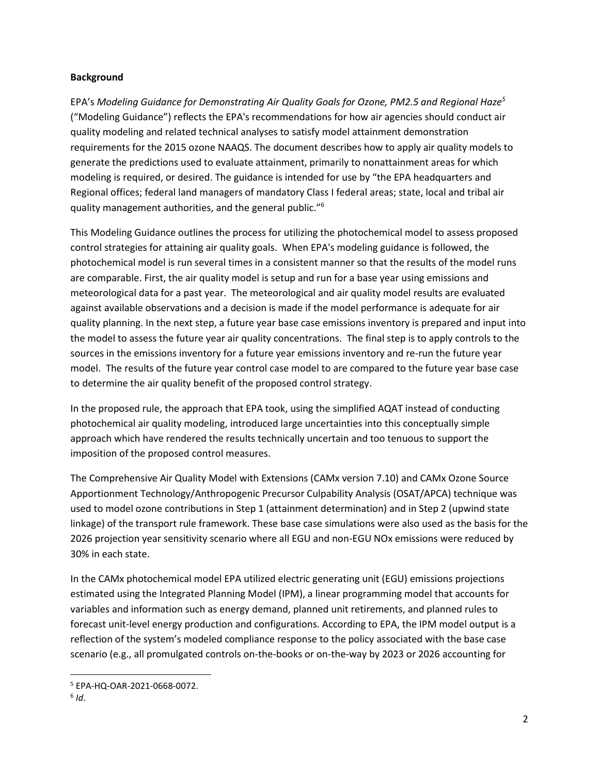#### **Background**

EPA's *Modeling Guidance for Demonstrating Air Quality Goals for Ozone, PM2.5 and Regional Haze<sup>5</sup>* ("Modeling Guidance") reflects the EPA's recommendations for how air agencies should conduct air quality modeling and related technical analyses to satisfy model attainment demonstration requirements for the 2015 ozone NAAQS. The document describes how to apply air quality models to generate the predictions used to evaluate attainment, primarily to nonattainment areas for which modeling is required, or desired. The guidance is intended for use by "the EPA headquarters and Regional offices; federal land managers of mandatory Class I federal areas; state, local and tribal air quality management authorities, and the general public."<sup>6</sup>

This Modeling Guidance outlines the process for utilizing the photochemical model to assess proposed control strategies for attaining air quality goals. When EPA's modeling guidance is followed, the photochemical model is run several times in a consistent manner so that the results of the model runs are comparable. First, the air quality model is setup and run for a base year using emissions and meteorological data for a past year. The meteorological and air quality model results are evaluated against available observations and a decision is made if the model performance is adequate for air quality planning. In the next step, a future year base case emissions inventory is prepared and input into the model to assess the future year air quality concentrations. The final step is to apply controls to the sources in the emissions inventory for a future year emissions inventory and re-run the future year model. The results of the future year control case model to are compared to the future year base case to determine the air quality benefit of the proposed control strategy.

In the proposed rule, the approach that EPA took, using the simplified AQAT instead of conducting photochemical air quality modeling, introduced large uncertainties into this conceptually simple approach which have rendered the results technically uncertain and too tenuous to support the imposition of the proposed control measures.

The Comprehensive Air Quality Model with Extensions (CAMx version 7.10) and CAMx Ozone Source Apportionment Technology/Anthropogenic Precursor Culpability Analysis (OSAT/APCA) technique was used to model ozone contributions in Step 1 (attainment determination) and in Step 2 (upwind state linkage) of the transport rule framework. These base case simulations were also used as the basis for the 2026 projection year sensitivity scenario where all EGU and non-EGU NOx emissions were reduced by 30% in each state.

In the CAMx photochemical model EPA utilized electric generating unit (EGU) emissions projections estimated using the Integrated Planning Model (IPM), a linear programming model that accounts for variables and information such as energy demand, planned unit retirements, and planned rules to forecast unit-level energy production and configurations. According to EPA, the IPM model output is a reflection of the system's modeled compliance response to the policy associated with the base case scenario (e.g., all promulgated controls on-the-books or on-the-way by 2023 or 2026 accounting for

<sup>5</sup> EPA-HQ-OAR-2021-0668-0072.

<sup>6</sup> *Id*.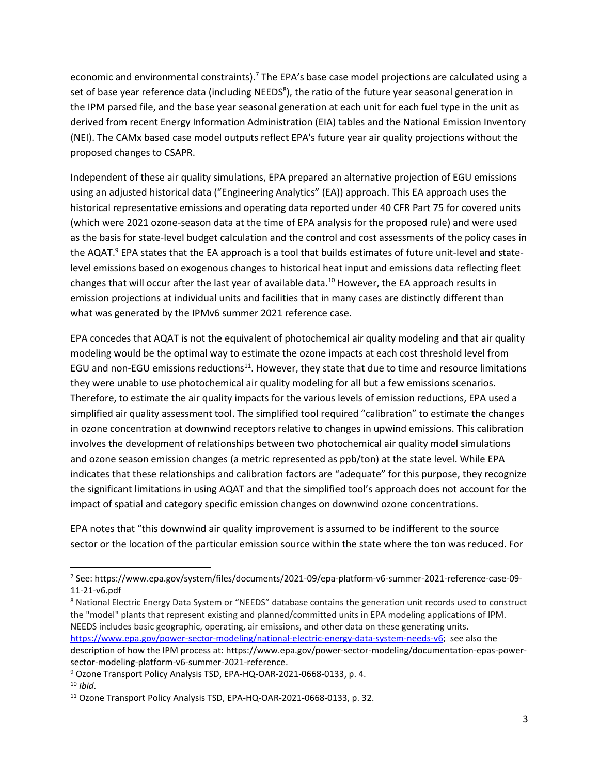economic and environmental constraints).<sup>7</sup> The EPA's base case model projections are calculated using a set of base year reference data (including NEEDS<sup>8</sup>), the ratio of the future year seasonal generation in the IPM parsed file, and the base year seasonal generation at each unit for each fuel type in the unit as derived from recent Energy Information Administration (EIA) tables and the National Emission Inventory (NEI). The CAMx based case model outputs reflect EPA's future year air quality projections without the proposed changes to CSAPR.

Independent of these air quality simulations, EPA prepared an alternative projection of EGU emissions using an adjusted historical data ("Engineering Analytics" (EA)) approach. This EA approach uses the historical representative emissions and operating data reported under 40 CFR Part 75 for covered units (which were 2021 ozone-season data at the time of EPA analysis for the proposed rule) and were used as the basis for state-level budget calculation and the control and cost assessments of the policy cases in the AQAT.<sup>9</sup> EPA states that the EA approach is a tool that builds estimates of future unit-level and statelevel emissions based on exogenous changes to historical heat input and emissions data reflecting fleet changes that will occur after the last year of available data.<sup>10</sup> However, the EA approach results in emission projections at individual units and facilities that in many cases are distinctly different than what was generated by the IPMv6 summer 2021 reference case.

EPA concedes that AQAT is not the equivalent of photochemical air quality modeling and that air quality modeling would be the optimal way to estimate the ozone impacts at each cost threshold level from EGU and non-EGU emissions reductions<sup>11</sup>. However, they state that due to time and resource limitations they were unable to use photochemical air quality modeling for all but a few emissions scenarios. Therefore, to estimate the air quality impacts for the various levels of emission reductions, EPA used a simplified air quality assessment tool. The simplified tool required "calibration" to estimate the changes in ozone concentration at downwind receptors relative to changes in upwind emissions. This calibration involves the development of relationships between two photochemical air quality model simulations and ozone season emission changes (a metric represented as ppb/ton) at the state level. While EPA indicates that these relationships and calibration factors are "adequate" for this purpose, they recognize the significant limitations in using AQAT and that the simplified tool's approach does not account for the impact of spatial and category specific emission changes on downwind ozone concentrations.

EPA notes that "this downwind air quality improvement is assumed to be indifferent to the source sector or the location of the particular emission source within the state where the ton was reduced. For

<sup>9</sup> Ozone Transport Policy Analysis TSD, EPA-HQ-OAR-2021-0668-0133, p. 4. <sup>10</sup> *Ibid*.

<sup>7</sup> See: https://www.epa.gov/system/files/documents/2021-09/epa-platform-v6-summer-2021-reference-case-09- 11-21-v6.pdf

<sup>8</sup> National Electric Energy Data System or "NEEDS" database contains the generation unit records used to construct the "model" plants that represent existing and planned/committed units in EPA modeling applications of IPM. NEEDS includes basic geographic, operating, air emissions, and other data on these generating units. [https://www.epa.gov/power-sector-modeling/national-electric-energy-data-system-needs-v6;](https://www.epa.gov/power-sector-modeling/national-electric-energy-data-system-needs-v6) see also the description of how the IPM process at: https://www.epa.gov/power-sector-modeling/documentation-epas-powersector-modeling-platform-v6-summer-2021-reference.

<sup>&</sup>lt;sup>11</sup> Ozone Transport Policy Analysis TSD, EPA-HQ-OAR-2021-0668-0133, p. 32.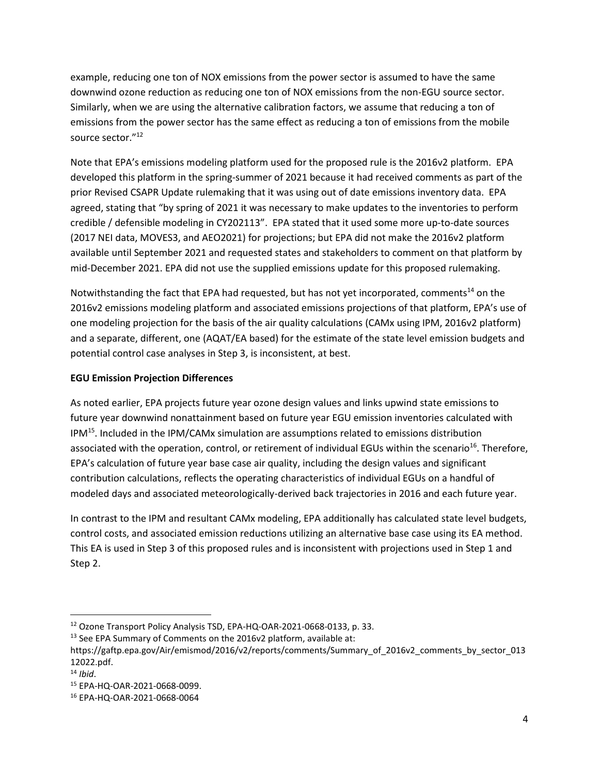example, reducing one ton of NOX emissions from the power sector is assumed to have the same downwind ozone reduction as reducing one ton of NOX emissions from the non-EGU source sector. Similarly, when we are using the alternative calibration factors, we assume that reducing a ton of emissions from the power sector has the same effect as reducing a ton of emissions from the mobile source sector." 12

Note that EPA's emissions modeling platform used for the proposed rule is the 2016v2 platform. EPA developed this platform in the spring-summer of 2021 because it had received comments as part of the prior Revised CSAPR Update rulemaking that it was using out of date emissions inventory data. EPA agreed, stating that "by spring of 2021 it was necessary to make updates to the inventories to perform credible / defensible modeling in CY202113". EPA stated that it used some more up-to-date sources (2017 NEI data, MOVES3, and AEO2021) for projections; but EPA did not make the 2016v2 platform available until September 2021 and requested states and stakeholders to comment on that platform by mid-December 2021. EPA did not use the supplied emissions update for this proposed rulemaking.

Notwithstanding the fact that EPA had requested, but has not yet incorporated, comments<sup>14</sup> on the 2016v2 emissions modeling platform and associated emissions projections of that platform, EPA's use of one modeling projection for the basis of the air quality calculations (CAMx using IPM, 2016v2 platform) and a separate, different, one (AQAT/EA based) for the estimate of the state level emission budgets and potential control case analyses in Step 3, is inconsistent, at best.

### **EGU Emission Projection Differences**

As noted earlier, EPA projects future year ozone design values and links upwind state emissions to future year downwind nonattainment based on future year EGU emission inventories calculated with IPM<sup>15</sup>. Included in the IPM/CAMx simulation are assumptions related to emissions distribution associated with the operation, control, or retirement of individual EGUs within the scenario<sup>16</sup>. Therefore, EPA's calculation of future year base case air quality, including the design values and significant contribution calculations, reflects the operating characteristics of individual EGUs on a handful of modeled days and associated meteorologically-derived back trajectories in 2016 and each future year.

In contrast to the IPM and resultant CAMx modeling, EPA additionally has calculated state level budgets, control costs, and associated emission reductions utilizing an alternative base case using its EA method. This EA is used in Step 3 of this proposed rules and is inconsistent with projections used in Step 1 and Step 2.

<sup>12</sup> Ozone Transport Policy Analysis TSD, EPA-HQ-OAR-2021-0668-0133, p. 33.

<sup>&</sup>lt;sup>13</sup> See EPA Summary of Comments on the 2016v2 platform, available at:

https://gaftp.epa.gov/Air/emismod/2016/v2/reports/comments/Summary\_of\_2016v2\_comments\_by\_sector\_013 12022.pdf.

<sup>14</sup> *Ibid*.

<sup>15</sup> EPA-HQ-OAR-2021-0668-0099.

<sup>16</sup> EPA-HQ-OAR-2021-0668-0064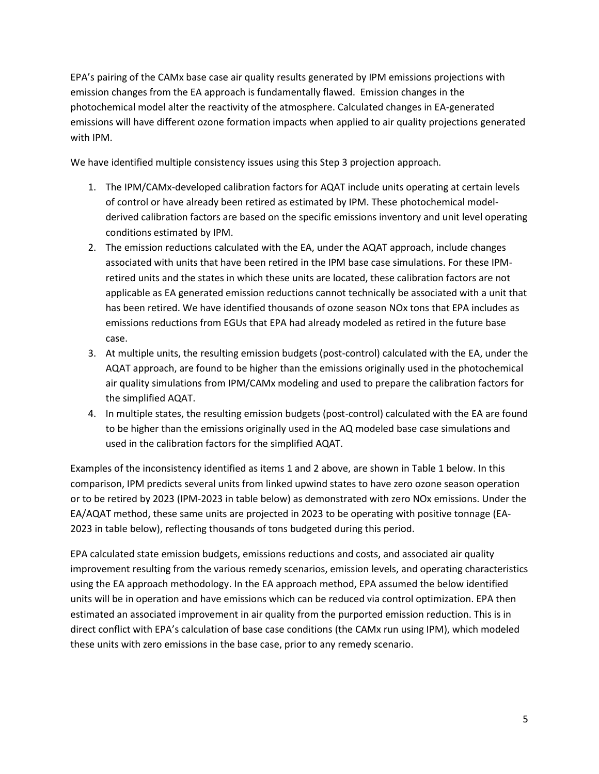EPA's pairing of the CAMx base case air quality results generated by IPM emissions projections with emission changes from the EA approach is fundamentally flawed. Emission changes in the photochemical model alter the reactivity of the atmosphere. Calculated changes in EA-generated emissions will have different ozone formation impacts when applied to air quality projections generated with IPM.

We have identified multiple consistency issues using this Step 3 projection approach.

- 1. The IPM/CAMx-developed calibration factors for AQAT include units operating at certain levels of control or have already been retired as estimated by IPM. These photochemical modelderived calibration factors are based on the specific emissions inventory and unit level operating conditions estimated by IPM.
- 2. The emission reductions calculated with the EA, under the AQAT approach, include changes associated with units that have been retired in the IPM base case simulations. For these IPMretired units and the states in which these units are located, these calibration factors are not applicable as EA generated emission reductions cannot technically be associated with a unit that has been retired. We have identified thousands of ozone season NOx tons that EPA includes as emissions reductions from EGUs that EPA had already modeled as retired in the future base case.
- 3. At multiple units, the resulting emission budgets (post-control) calculated with the EA, under the AQAT approach, are found to be higher than the emissions originally used in the photochemical air quality simulations from IPM/CAMx modeling and used to prepare the calibration factors for the simplified AQAT.
- 4. In multiple states, the resulting emission budgets (post-control) calculated with the EA are found to be higher than the emissions originally used in the AQ modeled base case simulations and used in the calibration factors for the simplified AQAT.

Examples of the inconsistency identified as items 1 and 2 above, are shown in [Table 1](#page-5-0) below. In this comparison, IPM predicts several units from linked upwind states to have zero ozone season operation or to be retired by 2023 (IPM-2023 in table below) as demonstrated with zero NOx emissions. Under the EA/AQAT method, these same units are projected in 2023 to be operating with positive tonnage (EA-2023 in table below), reflecting thousands of tons budgeted during this period.

EPA calculated state emission budgets, emissions reductions and costs, and associated air quality improvement resulting from the various remedy scenarios, emission levels, and operating characteristics using the EA approach methodology. In the EA approach method, EPA assumed the below identified units will be in operation and have emissions which can be reduced via control optimization. EPA then estimated an associated improvement in air quality from the purported emission reduction. This is in direct conflict with EPA's calculation of base case conditions (the CAMx run using IPM), which modeled these units with zero emissions in the base case, prior to any remedy scenario.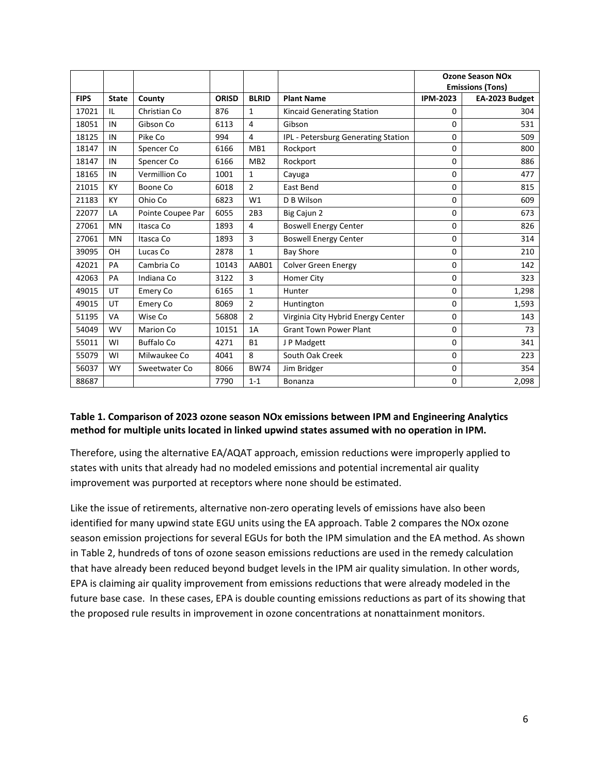|             |              |                   |              |                 |                                     | <b>Ozone Season NOx</b><br><b>Emissions (Tons)</b> |                |
|-------------|--------------|-------------------|--------------|-----------------|-------------------------------------|----------------------------------------------------|----------------|
| <b>FIPS</b> | <b>State</b> | County            | <b>ORISD</b> | <b>BLRID</b>    | <b>Plant Name</b>                   | <b>IPM-2023</b>                                    | EA-2023 Budget |
| 17021       | IL.          | Christian Co      | 876          | $\mathbf{1}$    | <b>Kincaid Generating Station</b>   | 0                                                  | 304            |
| 18051       | IN           | Gibson Co         | 6113         | 4               | Gibson                              | $\Omega$                                           | 531            |
| 18125       | IN           | Pike Co           | 994          | 4               | IPL - Petersburg Generating Station | 0                                                  | 509            |
| 18147       | IN           | Spencer Co        | 6166         | MB1             | Rockport                            | 0                                                  | 800            |
| 18147       | IN           | Spencer Co        | 6166         | MB <sub>2</sub> | Rockport                            | 0                                                  | 886            |
| 18165       | IN           | Vermillion Co     | 1001         | $\mathbf{1}$    | Cayuga                              | 0                                                  | 477            |
| 21015       | KY           | Boone Co          | 6018         | $\overline{2}$  | East Bend                           | 0                                                  | 815            |
| 21183       | KY           | Ohio Co           | 6823         | W1              | D B Wilson                          | 0                                                  | 609            |
| 22077       | LA           | Pointe Coupee Par | 6055         | 2B <sub>3</sub> | Big Cajun 2                         | 0                                                  | 673            |
| 27061       | <b>MN</b>    | Itasca Co         | 1893         | 4               | <b>Boswell Energy Center</b>        | 0                                                  | 826            |
| 27061       | <b>MN</b>    | Itasca Co         | 1893         | $\overline{3}$  | <b>Boswell Energy Center</b>        | 0                                                  | 314            |
| 39095       | OH           | Lucas Co          | 2878         | $\mathbf{1}$    | <b>Bay Shore</b>                    | 0                                                  | 210            |
| 42021       | PA           | Cambria Co        | 10143        | AAB01           | <b>Colver Green Energy</b>          | 0                                                  | 142            |
| 42063       | PA           | Indiana Co        | 3122         | 3               | <b>Homer City</b>                   | 0                                                  | 323            |
| 49015       | UT           | Emery Co          | 6165         | $\mathbf{1}$    | Hunter                              | 0                                                  | 1,298          |
| 49015       | UT           | Emery Co          | 8069         | $\overline{2}$  | Huntington                          | 0                                                  | 1,593          |
| 51195       | <b>VA</b>    | Wise Co           | 56808        | $\overline{2}$  | Virginia City Hybrid Energy Center  | 0                                                  | 143            |
| 54049       | <b>WV</b>    | Marion Co         | 10151        | 1A              | <b>Grant Town Power Plant</b>       | 0                                                  | 73             |
| 55011       | WI           | <b>Buffalo Co</b> | 4271         | <b>B1</b>       | J P Madgett                         | 0                                                  | 341            |
| 55079       | WI           | Milwaukee Co      | 4041         | 8               | South Oak Creek                     | 0                                                  | 223            |
| 56037       | <b>WY</b>    | Sweetwater Co     | 8066         | <b>BW74</b>     | Jim Bridger                         | 0                                                  | 354            |
| 88687       |              |                   | 7790         | $1 - 1$         | <b>Bonanza</b>                      | 0                                                  | 2,098          |

#### <span id="page-5-0"></span>**Table 1. Comparison of 2023 ozone season NOx emissions between IPM and Engineering Analytics method for multiple units located in linked upwind states assumed with no operation in IPM.**

Therefore, using the alternative EA/AQAT approach, emission reductions were improperly applied to states with units that already had no modeled emissions and potential incremental air quality improvement was purported at receptors where none should be estimated.

Like the issue of retirements, alternative non-zero operating levels of emissions have also been identified for many upwind state EGU units using the EA approach[. Table 2](#page-6-0) compares the NOx ozone season emission projections for several EGUs for both the IPM simulation and the EA method. As shown in Table 2, hundreds of tons of ozone season emissions reductions are used in the remedy calculation that have already been reduced beyond budget levels in the IPM air quality simulation. In other words, EPA is claiming air quality improvement from emissions reductions that were already modeled in the future base case. In these cases, EPA is double counting emissions reductions as part of its showing that the proposed rule results in improvement in ozone concentrations at nonattainment monitors.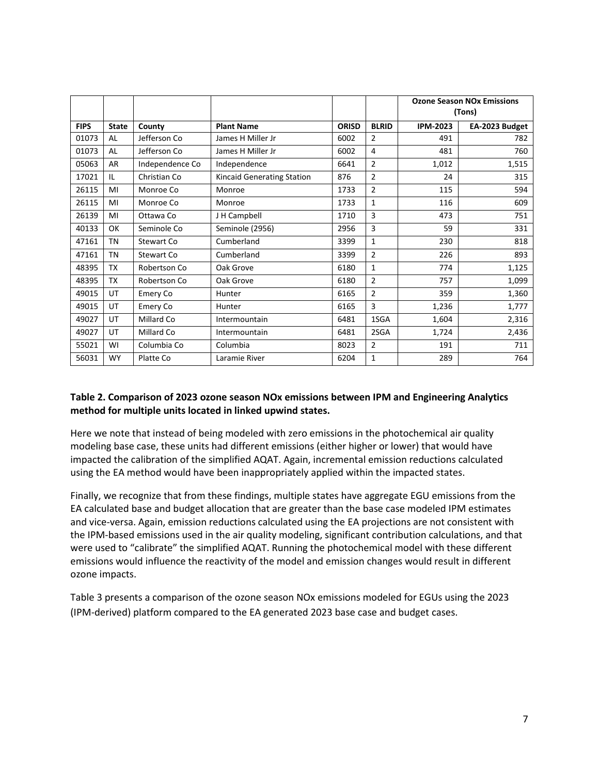|             |              |                   |                                   |              |                | <b>Ozone Season NOx Emissions</b><br>(Tons) |                |
|-------------|--------------|-------------------|-----------------------------------|--------------|----------------|---------------------------------------------|----------------|
| <b>FIPS</b> | <b>State</b> | County            | <b>Plant Name</b>                 | <b>ORISD</b> | <b>BLRID</b>   | <b>IPM-2023</b>                             | EA-2023 Budget |
| 01073       | AL           | Jefferson Co      | James H Miller Jr                 | 6002         | $\overline{2}$ | 491                                         | 782            |
| 01073       | AL           | Jefferson Co      | James H Miller Jr                 | 6002         | 4              | 481                                         | 760            |
| 05063       | <b>AR</b>    | Independence Co   | Independence                      | 6641         | $\overline{2}$ | 1,012                                       | 1,515          |
| 17021       | IL.          | Christian Co      | <b>Kincaid Generating Station</b> | 876          | $\overline{2}$ | 24                                          | 315            |
| 26115       | MI           | Monroe Co         | Monroe                            | 1733         | $\overline{2}$ | 115                                         | 594            |
| 26115       | MI           | Monroe Co         | Monroe                            | 1733         | $\mathbf{1}$   | 116                                         | 609            |
| 26139       | MI           | Ottawa Co         | J H Campbell                      | 1710         | 3              | 473                                         | 751            |
| 40133       | OK           | Seminole Co       | Seminole (2956)                   | 2956         | 3              | 59                                          | 331            |
| 47161       | <b>TN</b>    | <b>Stewart Co</b> | Cumberland                        | 3399         | $\mathbf{1}$   | 230                                         | 818            |
| 47161       | <b>TN</b>    | <b>Stewart Co</b> | Cumberland                        | 3399         | $\overline{2}$ | 226                                         | 893            |
| 48395       | <b>TX</b>    | Robertson Co      | Oak Grove                         | 6180         | $\mathbf{1}$   | 774                                         | 1,125          |
| 48395       | <b>TX</b>    | Robertson Co      | Oak Grove                         | 6180         | $\overline{2}$ | 757                                         | 1,099          |
| 49015       | UT           | Emery Co          | Hunter                            | 6165         | $\overline{2}$ | 359                                         | 1,360          |
| 49015       | UT           | Emery Co          | Hunter                            | 6165         | $\overline{3}$ | 1,236                                       | 1,777          |
| 49027       | UT           | Millard Co        | Intermountain                     | 6481         | 1SGA           | 1,604                                       | 2,316          |
| 49027       | UT           | Millard Co        | Intermountain                     | 6481         | 2SGA           | 1,724                                       | 2,436          |
| 55021       | WI           | Columbia Co       | Columbia                          | 8023         | $\overline{2}$ | 191                                         | 711            |
| 56031       | <b>WY</b>    | Platte Co         | Laramie River                     | 6204         | $\mathbf{1}$   | 289                                         | 764            |

### <span id="page-6-0"></span>**Table 2. Comparison of 2023 ozone season NOx emissions between IPM and Engineering Analytics method for multiple units located in linked upwind states.**

Here we note that instead of being modeled with zero emissions in the photochemical air quality modeling base case, these units had different emissions (either higher or lower) that would have impacted the calibration of the simplified AQAT. Again, incremental emission reductions calculated using the EA method would have been inappropriately applied within the impacted states.

Finally, we recognize that from these findings, multiple states have aggregate EGU emissions from the EA calculated base and budget allocation that are greater than the base case modeled IPM estimates and vice-versa. Again, emission reductions calculated using the EA projections are not consistent with the IPM-based emissions used in the air quality modeling, significant contribution calculations, and that were used to "calibrate" the simplified AQAT. Running the photochemical model with these different emissions would influence the reactivity of the model and emission changes would result in different ozone impacts[.](#page-7-0)

[Table 3](#page-7-0) presents a comparison of the ozone season NOx emissions modeled for EGUs using the 2023 (IPM-derived) platform compared to the EA generated 2023 base case and budget cases.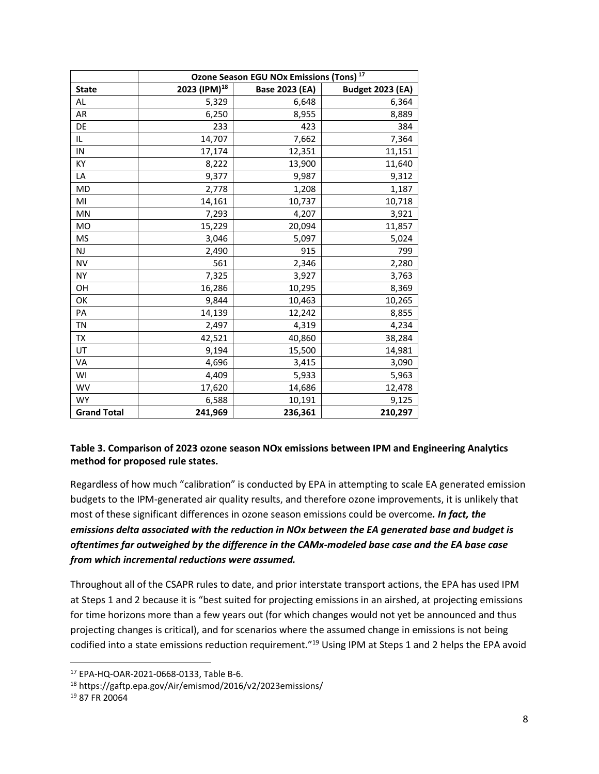|                    | Ozone Season EGU NOx Emissions (Tons) 17 |                |                         |  |  |  |  |
|--------------------|------------------------------------------|----------------|-------------------------|--|--|--|--|
| <b>State</b>       | 2023 (IPM) <sup>18</sup>                 | Base 2023 (EA) | <b>Budget 2023 (EA)</b> |  |  |  |  |
| AL                 | 5,329                                    | 6,648          | 6,364                   |  |  |  |  |
| AR                 | 6,250                                    | 8,955          | 8,889                   |  |  |  |  |
| DE                 | 233                                      | 423            | 384                     |  |  |  |  |
| IL                 | 14,707                                   | 7,662          | 7,364                   |  |  |  |  |
| IN                 | 17,174                                   | 12,351         | 11,151                  |  |  |  |  |
| KY                 | 8,222                                    | 13,900         | 11,640                  |  |  |  |  |
| LA                 | 9,377                                    | 9,987          | 9,312                   |  |  |  |  |
| MD                 | 2,778                                    | 1,208          | 1,187                   |  |  |  |  |
| MI                 | 14,161                                   | 10,737         | 10,718                  |  |  |  |  |
| MN                 | 7,293                                    | 4,207          | 3,921                   |  |  |  |  |
| <b>MO</b>          | 15,229                                   | 20,094         | 11,857                  |  |  |  |  |
| MS                 | 3,046                                    | 5,097          | 5,024                   |  |  |  |  |
| <b>NJ</b>          | 2,490                                    | 915            | 799                     |  |  |  |  |
| <b>NV</b>          | 561                                      | 2,346          | 2,280                   |  |  |  |  |
| <b>NY</b>          | 7,325                                    | 3,927          | 3,763                   |  |  |  |  |
| OH                 | 16,286                                   | 10,295         | 8,369                   |  |  |  |  |
| OK                 | 9,844                                    | 10,463         | 10,265                  |  |  |  |  |
| PA                 | 14,139                                   | 12,242         | 8,855                   |  |  |  |  |
| <b>TN</b>          | 2,497                                    | 4,319          | 4,234                   |  |  |  |  |
| TX                 | 42,521                                   | 40,860         | 38,284                  |  |  |  |  |
| UT                 | 9,194                                    | 15,500         | 14,981                  |  |  |  |  |
| VA                 | 4,696                                    | 3,415          | 3,090                   |  |  |  |  |
| WI                 | 4,409                                    | 5,933          | 5,963                   |  |  |  |  |
| <b>WV</b>          | 17,620                                   | 14,686         | 12,478                  |  |  |  |  |
| <b>WY</b>          | 6,588                                    | 10,191         | 9,125                   |  |  |  |  |
| <b>Grand Total</b> | 241,969                                  | 236,361        | 210,297                 |  |  |  |  |

# <span id="page-7-0"></span>**Table 3. Comparison of 2023 ozone season NOx emissions between IPM and Engineering Analytics method for proposed rule states.**

Regardless of how much "calibration" is conducted by EPA in attempting to scale EA generated emission budgets to the IPM-generated air quality results, and therefore ozone improvements, it is unlikely that most of these significant differences in ozone season emissions could be overcome*. In fact, the emissions delta associated with the reduction in NOx between the EA generated base and budget is oftentimes far outweighed by the difference in the CAMx-modeled base case and the EA base case from which incremental reductions were assumed.*

Throughout all of the CSAPR rules to date, and prior interstate transport actions, the EPA has used IPM at Steps 1 and 2 because it is "best suited for projecting emissions in an airshed, at projecting emissions for time horizons more than a few years out (for which changes would not yet be announced and thus projecting changes is critical), and for scenarios where the assumed change in emissions is not being codified into a state emissions reduction requirement."<sup>19</sup> Using IPM at Steps 1 and 2 helps the EPA avoid

<sup>17</sup> EPA-HQ-OAR-2021-0668-0133, Table B-6.

<sup>18</sup> https://gaftp.epa.gov/Air/emismod/2016/v2/2023emissions/

<sup>19</sup> 87 FR 20064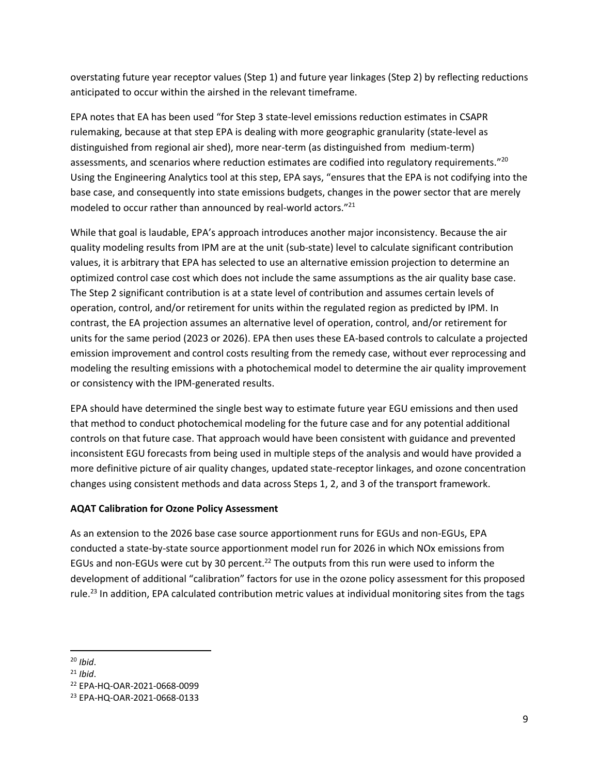overstating future year receptor values (Step 1) and future year linkages (Step 2) by reflecting reductions anticipated to occur within the airshed in the relevant timeframe.

EPA notes that EA has been used "for Step 3 state-level emissions reduction estimates in CSAPR rulemaking, because at that step EPA is dealing with more geographic granularity (state-level as distinguished from regional air shed), more near-term (as distinguished from medium-term) assessments, and scenarios where reduction estimates are codified into regulatory requirements."<sup>20</sup> Using the Engineering Analytics tool at this step, EPA says, "ensures that the EPA is not codifying into the base case, and consequently into state emissions budgets, changes in the power sector that are merely modeled to occur rather than announced by real-world actors."<sup>21</sup>

While that goal is laudable, EPA's approach introduces another major inconsistency. Because the air quality modeling results from IPM are at the unit (sub-state) level to calculate significant contribution values, it is arbitrary that EPA has selected to use an alternative emission projection to determine an optimized control case cost which does not include the same assumptions as the air quality base case. The Step 2 significant contribution is at a state level of contribution and assumes certain levels of operation, control, and/or retirement for units within the regulated region as predicted by IPM. In contrast, the EA projection assumes an alternative level of operation, control, and/or retirement for units for the same period (2023 or 2026). EPA then uses these EA-based controls to calculate a projected emission improvement and control costs resulting from the remedy case, without ever reprocessing and modeling the resulting emissions with a photochemical model to determine the air quality improvement or consistency with the IPM-generated results.

EPA should have determined the single best way to estimate future year EGU emissions and then used that method to conduct photochemical modeling for the future case and for any potential additional controls on that future case. That approach would have been consistent with guidance and prevented inconsistent EGU forecasts from being used in multiple steps of the analysis and would have provided a more definitive picture of air quality changes, updated state-receptor linkages, and ozone concentration changes using consistent methods and data across Steps 1, 2, and 3 of the transport framework.

# **AQAT Calibration for Ozone Policy Assessment**

As an extension to the 2026 base case source apportionment runs for EGUs and non-EGUs, EPA conducted a state-by-state source apportionment model run for 2026 in which NOx emissions from EGUs and non-EGUs were cut by 30 percent.<sup>22</sup> The outputs from this run were used to inform the development of additional "calibration" factors for use in the ozone policy assessment for this proposed rule.<sup>23</sup> In addition, EPA calculated contribution metric values at individual monitoring sites from the tags

<sup>20</sup> *Ibid*.

<sup>21</sup> *Ibid*.

<sup>22</sup> EPA-HQ-OAR-2021-0668-0099

<sup>23</sup> EPA-HQ-OAR-2021-0668-0133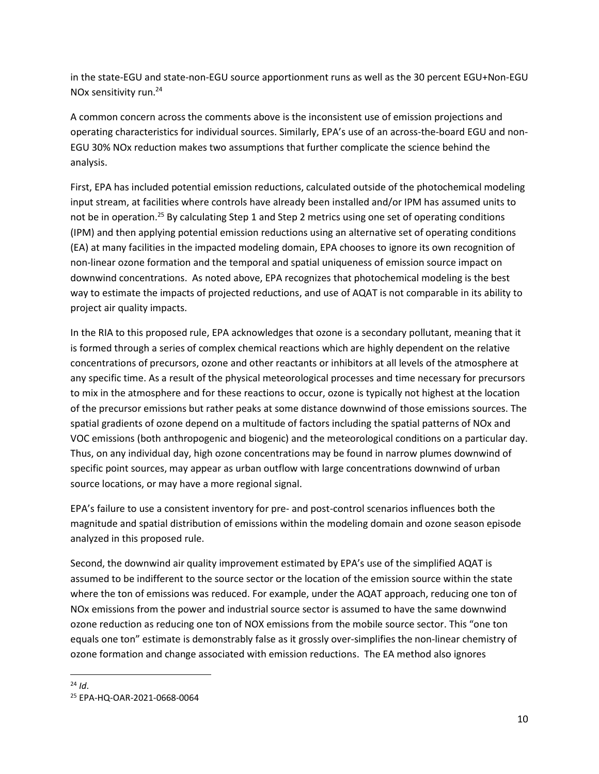in the state-EGU and state-non-EGU source apportionment runs as well as the 30 percent EGU+Non-EGU NOx sensitivity run.<sup>24</sup>

A common concern across the comments above is the inconsistent use of emission projections and operating characteristics for individual sources. Similarly, EPA's use of an across-the-board EGU and non-EGU 30% NOx reduction makes two assumptions that further complicate the science behind the analysis.

First, EPA has included potential emission reductions, calculated outside of the photochemical modeling input stream, at facilities where controls have already been installed and/or IPM has assumed units to not be in operation.<sup>25</sup> By calculating Step 1 and Step 2 metrics using one set of operating conditions (IPM) and then applying potential emission reductions using an alternative set of operating conditions (EA) at many facilities in the impacted modeling domain, EPA chooses to ignore its own recognition of non-linear ozone formation and the temporal and spatial uniqueness of emission source impact on downwind concentrations. As noted above, EPA recognizes that photochemical modeling is the best way to estimate the impacts of projected reductions, and use of AQAT is not comparable in its ability to project air quality impacts.

In the RIA to this proposed rule, EPA acknowledges that ozone is a secondary pollutant, meaning that it is formed through a series of complex chemical reactions which are highly dependent on the relative concentrations of precursors, ozone and other reactants or inhibitors at all levels of the atmosphere at any specific time. As a result of the physical meteorological processes and time necessary for precursors to mix in the atmosphere and for these reactions to occur, ozone is typically not highest at the location of the precursor emissions but rather peaks at some distance downwind of those emissions sources. The spatial gradients of ozone depend on a multitude of factors including the spatial patterns of NOx and VOC emissions (both anthropogenic and biogenic) and the meteorological conditions on a particular day. Thus, on any individual day, high ozone concentrations may be found in narrow plumes downwind of specific point sources, may appear as urban outflow with large concentrations downwind of urban source locations, or may have a more regional signal.

EPA's failure to use a consistent inventory for pre- and post-control scenarios influences both the magnitude and spatial distribution of emissions within the modeling domain and ozone season episode analyzed in this proposed rule.

Second, the downwind air quality improvement estimated by EPA's use of the simplified AQAT is assumed to be indifferent to the source sector or the location of the emission source within the state where the ton of emissions was reduced. For example, under the AQAT approach, reducing one ton of NOx emissions from the power and industrial source sector is assumed to have the same downwind ozone reduction as reducing one ton of NOX emissions from the mobile source sector. This "one ton equals one ton" estimate is demonstrably false as it grossly over-simplifies the non-linear chemistry of ozone formation and change associated with emission reductions. The EA method also ignores

<sup>24</sup> *Id*.

<sup>25</sup> EPA-HQ-OAR-2021-0668-0064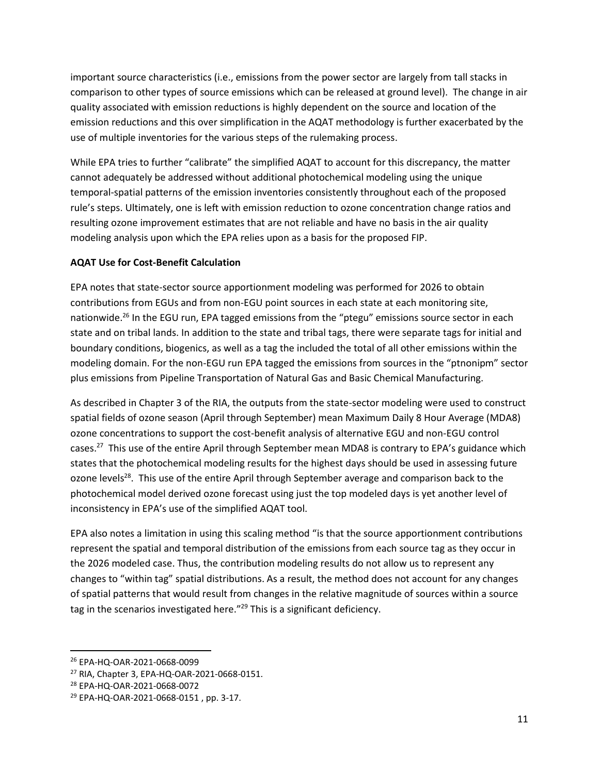important source characteristics (i.e., emissions from the power sector are largely from tall stacks in comparison to other types of source emissions which can be released at ground level). The change in air quality associated with emission reductions is highly dependent on the source and location of the emission reductions and this over simplification in the AQAT methodology is further exacerbated by the use of multiple inventories for the various steps of the rulemaking process.

While EPA tries to further "calibrate" the simplified AQAT to account for this discrepancy, the matter cannot adequately be addressed without additional photochemical modeling using the unique temporal-spatial patterns of the emission inventories consistently throughout each of the proposed rule's steps. Ultimately, one is left with emission reduction to ozone concentration change ratios and resulting ozone improvement estimates that are not reliable and have no basis in the air quality modeling analysis upon which the EPA relies upon as a basis for the proposed FIP.

# **AQAT Use for Cost-Benefit Calculation**

EPA notes that state-sector source apportionment modeling was performed for 2026 to obtain contributions from EGUs and from non-EGU point sources in each state at each monitoring site, nationwide.<sup>26</sup> In the EGU run, EPA tagged emissions from the "ptegu" emissions source sector in each state and on tribal lands. In addition to the state and tribal tags, there were separate tags for initial and boundary conditions, biogenics, as well as a tag the included the total of all other emissions within the modeling domain. For the non-EGU run EPA tagged the emissions from sources in the "ptnonipm" sector plus emissions from Pipeline Transportation of Natural Gas and Basic Chemical Manufacturing.

As described in Chapter 3 of the RIA, the outputs from the state-sector modeling were used to construct spatial fields of ozone season (April through September) mean Maximum Daily 8 Hour Average (MDA8) ozone concentrations to support the cost-benefit analysis of alternative EGU and non-EGU control cases.<sup>27</sup> This use of the entire April through September mean MDA8 is contrary to EPA's guidance which states that the photochemical modeling results for the highest days should be used in assessing future ozone levels<sup>28</sup>. This use of the entire April through September average and comparison back to the photochemical model derived ozone forecast using just the top modeled days is yet another level of inconsistency in EPA's use of the simplified AQAT tool.

EPA also notes a limitation in using this scaling method "is that the source apportionment contributions represent the spatial and temporal distribution of the emissions from each source tag as they occur in the 2026 modeled case. Thus, the contribution modeling results do not allow us to represent any changes to "within tag" spatial distributions. As a result, the method does not account for any changes of spatial patterns that would result from changes in the relative magnitude of sources within a source tag in the scenarios investigated here." <sup>29</sup> This is a significant deficiency.

<sup>26</sup> EPA-HQ-OAR-2021-0668-0099

<sup>27</sup> RIA, Chapter 3, EPA-HQ-OAR-2021-0668-0151.

<sup>28</sup> EPA-HQ-OAR-2021-0668-0072

<sup>29</sup> EPA-HQ-OAR-2021-0668-0151 , pp. 3-17.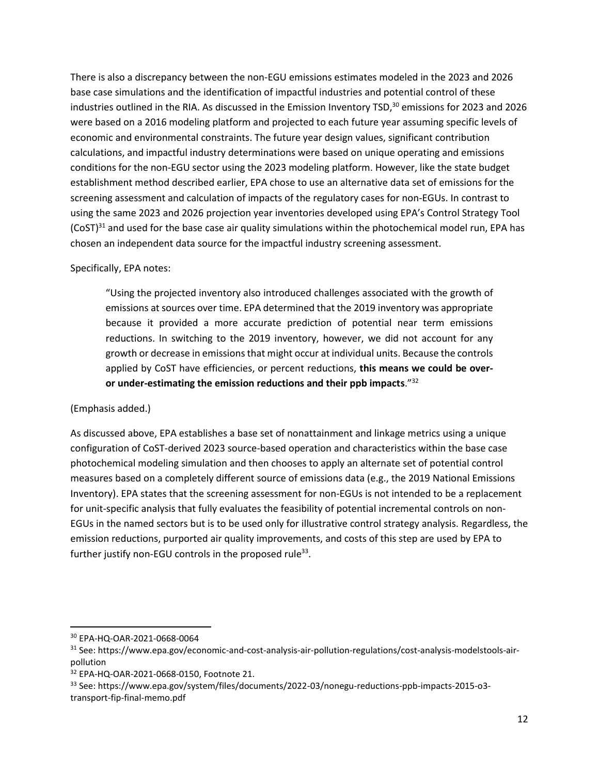There is also a discrepancy between the non-EGU emissions estimates modeled in the 2023 and 2026 base case simulations and the identification of impactful industries and potential control of these industries outlined in the RIA. As discussed in the Emission Inventory TSD,<sup>30</sup> emissions for 2023 and 2026 were based on a 2016 modeling platform and projected to each future year assuming specific levels of economic and environmental constraints. The future year design values, significant contribution calculations, and impactful industry determinations were based on unique operating and emissions conditions for the non-EGU sector using the 2023 modeling platform. However, like the state budget establishment method described earlier, EPA chose to use an alternative data set of emissions for the screening assessment and calculation of impacts of the regulatory cases for non-EGUs. In contrast to using the same 2023 and 2026 projection year inventories developed using EPA's Control Strategy Tool  $(COST)^{31}$  and used for the base case air quality simulations within the photochemical model run, EPA has chosen an independent data source for the impactful industry screening assessment.

### Specifically, EPA notes:

"Using the projected inventory also introduced challenges associated with the growth of emissions at sources over time. EPA determined that the 2019 inventory was appropriate because it provided a more accurate prediction of potential near term emissions reductions. In switching to the 2019 inventory, however, we did not account for any growth or decrease in emissions that might occur at individual units. Because the controls applied by CoST have efficiencies, or percent reductions, **this means we could be overor under-estimating the emission reductions and their ppb impacts**." 32

# (Emphasis added.)

As discussed above, EPA establishes a base set of nonattainment and linkage metrics using a unique configuration of CoST-derived 2023 source-based operation and characteristics within the base case photochemical modeling simulation and then chooses to apply an alternate set of potential control measures based on a completely different source of emissions data (e.g., the 2019 National Emissions Inventory). EPA states that the screening assessment for non-EGUs is not intended to be a replacement for unit-specific analysis that fully evaluates the feasibility of potential incremental controls on non-EGUs in the named sectors but is to be used only for illustrative control strategy analysis. Regardless, the emission reductions, purported air quality improvements, and costs of this step are used by EPA to further justify non-EGU controls in the proposed rule<sup>33</sup>.

<sup>30</sup> EPA-HQ-OAR-2021-0668-0064

<sup>31</sup> See: https://www.epa.gov/economic-and-cost-analysis-air-pollution-regulations/cost-analysis-modelstools-airpollution

<sup>32</sup> EPA-HQ-OAR-2021-0668-0150, Footnote 21.

<sup>33</sup> See: https://www.epa.gov/system/files/documents/2022-03/nonegu-reductions-ppb-impacts-2015-o3 transport-fip-final-memo.pdf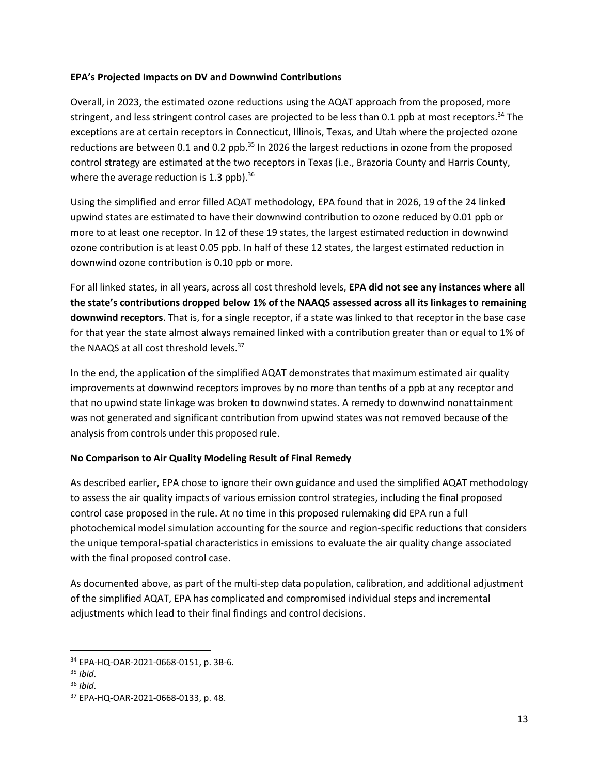#### **EPA's Projected Impacts on DV and Downwind Contributions**

Overall, in 2023, the estimated ozone reductions using the AQAT approach from the proposed, more stringent, and less stringent control cases are projected to be less than 0.1 ppb at most receptors.<sup>34</sup> The exceptions are at certain receptors in Connecticut, Illinois, Texas, and Utah where the projected ozone reductions are between 0.1 and 0.2 ppb.<sup>35</sup> In 2026 the largest reductions in ozone from the proposed control strategy are estimated at the two receptors in Texas (i.e., Brazoria County and Harris County, where the average reduction is 1.3 ppb).<sup>36</sup>

Using the simplified and error filled AQAT methodology, EPA found that in 2026, 19 of the 24 linked upwind states are estimated to have their downwind contribution to ozone reduced by 0.01 ppb or more to at least one receptor. In 12 of these 19 states, the largest estimated reduction in downwind ozone contribution is at least 0.05 ppb. In half of these 12 states, the largest estimated reduction in downwind ozone contribution is 0.10 ppb or more.

For all linked states, in all years, across all cost threshold levels, **EPA did not see any instances where all the state's contributions dropped below 1% of the NAAQS assessed across all its linkages to remaining downwind receptors**. That is, for a single receptor, if a state was linked to that receptor in the base case for that year the state almost always remained linked with a contribution greater than or equal to 1% of the NAAQS at all cost threshold levels.<sup>37</sup>

In the end, the application of the simplified AQAT demonstrates that maximum estimated air quality improvements at downwind receptors improves by no more than tenths of a ppb at any receptor and that no upwind state linkage was broken to downwind states. A remedy to downwind nonattainment was not generated and significant contribution from upwind states was not removed because of the analysis from controls under this proposed rule.

# **No Comparison to Air Quality Modeling Result of Final Remedy**

As described earlier, EPA chose to ignore their own guidance and used the simplified AQAT methodology to assess the air quality impacts of various emission control strategies, including the final proposed control case proposed in the rule. At no time in this proposed rulemaking did EPA run a full photochemical model simulation accounting for the source and region-specific reductions that considers the unique temporal-spatial characteristics in emissions to evaluate the air quality change associated with the final proposed control case.

As documented above, as part of the multi-step data population, calibration, and additional adjustment of the simplified AQAT, EPA has complicated and compromised individual steps and incremental adjustments which lead to their final findings and control decisions.

<sup>34</sup> EPA-HQ-OAR-2021-0668-0151, p. 3B-6.

<sup>35</sup> *Ibid*.

<sup>36</sup> *Ibid*.

<sup>37</sup> EPA-HQ-OAR-2021-0668-0133, p. 48.